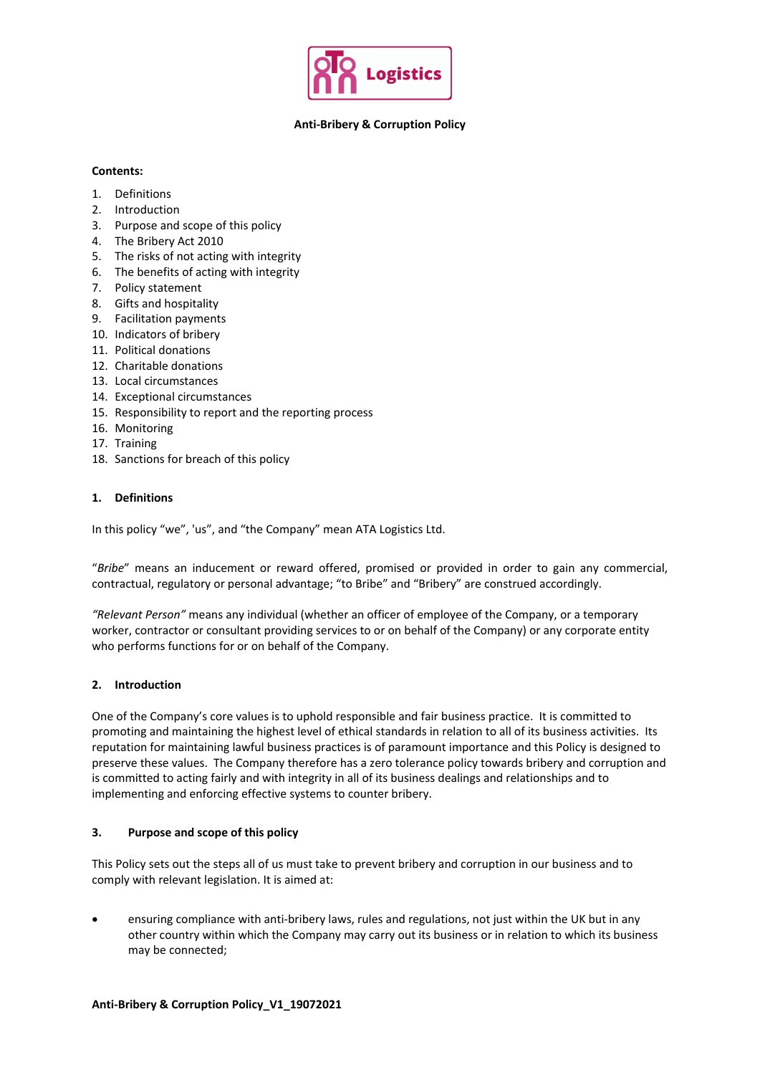

## **Anti-Bribery & Corruption Policy**

# **Contents:**

- 1. Definitions
- 2. Introduction
- 3. Purpose and scope of this policy
- 4. The Bribery Act 2010
- 5. The risks of not acting with integrity
- 6. The benefits of acting with integrity
- 7. Policy statement
- 8. Gifts and hospitality
- 9. Facilitation payments
- 10. Indicators of bribery
- 11. Political donations
- 12. Charitable donations
- 13. Local circumstances
- 14. Exceptional circumstances
- 15. Responsibility to report and the reporting process
- 16. Monitoring
- 17. Training
- 18. Sanctions for breach of this policy

# **1. Definitions**

In this policy "we", 'us", and "the Company" mean ATA Logistics Ltd.

"*Bribe*" means an inducement or reward offered, promised or provided in order to gain any commercial, contractual, regulatory or personal advantage; "to Bribe" and "Bribery" are construed accordingly.

*"Relevant Person"* means any individual (whether an officer of employee of the Company, or a temporary worker, contractor or consultant providing services to or on behalf of the Company) or any corporate entity who performs functions for or on behalf of the Company.

## **2. Introduction**

One of the Company's core values is to uphold responsible and fair business practice. It is committed to promoting and maintaining the highest level of ethical standards in relation to all of its business activities. Its reputation for maintaining lawful business practices is of paramount importance and this Policy is designed to preserve these values. The Company therefore has a zero tolerance policy towards bribery and corruption and is committed to acting fairly and with integrity in all of its business dealings and relationships and to implementing and enforcing effective systems to counter bribery.

# **3. Purpose and scope of this policy**

This Policy sets out the steps all of us must take to prevent bribery and corruption in our business and to comply with relevant legislation. It is aimed at:

 ensuring compliance with anti-bribery laws, rules and regulations, not just within the UK but in any other country within which the Company may carry out its business or in relation to which its business may be connected;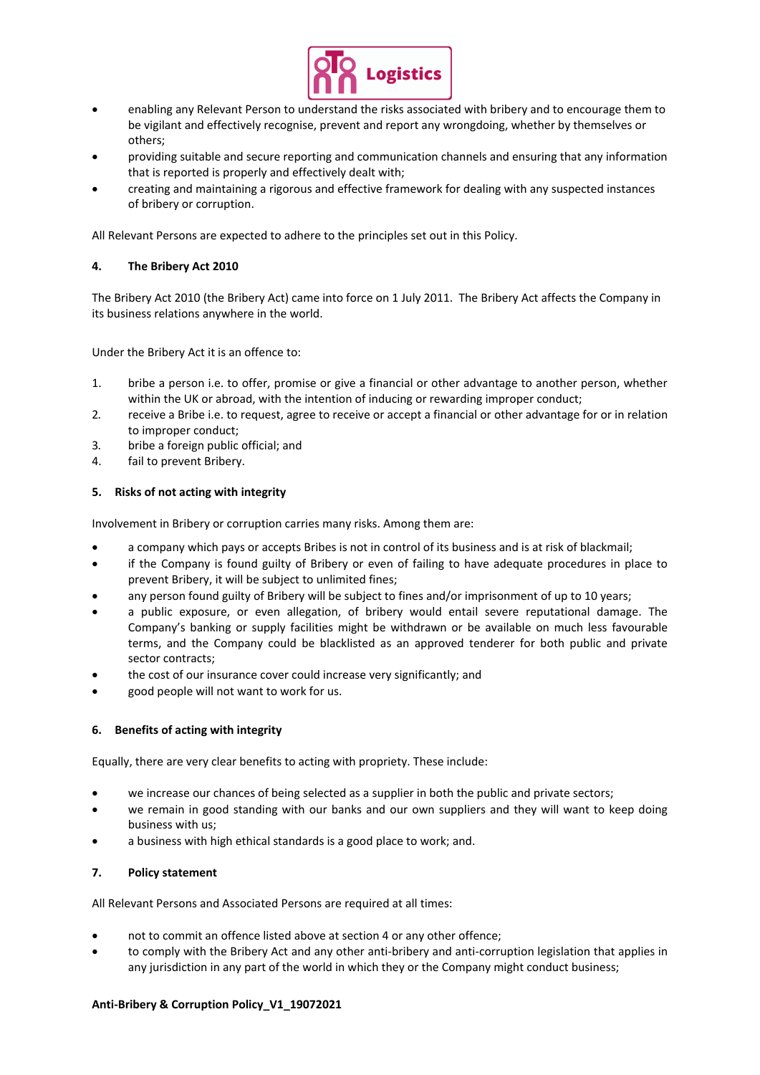

- enabling any Relevant Person to understand the risks associated with bribery and to encourage them to be vigilant and effectively recognise, prevent and report any wrongdoing, whether by themselves or others;
- providing suitable and secure reporting and communication channels and ensuring that any information that is reported is properly and effectively dealt with;
- creating and maintaining a rigorous and effective framework for dealing with any suspected instances of bribery or corruption.

All Relevant Persons are expected to adhere to the principles set out in this Policy.

# **4. The Bribery Act 2010**

The Bribery Act 2010 (the Bribery Act) came into force on 1 July 2011. The Bribery Act affects the Company in its business relations anywhere in the world.

Under the Bribery Act it is an offence to:

- 1. bribe a person i.e. to offer, promise or give a financial or other advantage to another person, whether within the UK or abroad, with the intention of inducing or rewarding improper conduct;
- 2. receive a Bribe i.e. to request, agree to receive or accept a financial or other advantage for or in relation to improper conduct;
- 3. bribe a foreign public official; and
- 4. fail to prevent Bribery.

## **5. Risks of not acting with integrity**

Involvement in Bribery or corruption carries many risks. Among them are:

- a company which pays or accepts Bribes is not in control of its business and is at risk of blackmail;
- if the Company is found guilty of Bribery or even of failing to have adequate procedures in place to prevent Bribery, it will be subject to unlimited fines;
- any person found guilty of Bribery will be subject to fines and/or imprisonment of up to 10 years;
- a public exposure, or even allegation, of bribery would entail severe reputational damage. The Company's banking or supply facilities might be withdrawn or be available on much less favourable terms, and the Company could be blacklisted as an approved tenderer for both public and private sector contracts;
- the cost of our insurance cover could increase very significantly; and
- good people will not want to work for us.

## **6. Benefits of acting with integrity**

Equally, there are very clear benefits to acting with propriety. These include:

- we increase our chances of being selected as a supplier in both the public and private sectors;
- we remain in good standing with our banks and our own suppliers and they will want to keep doing business with us;
- a business with high ethical standards is a good place to work; and.

## **7. Policy statement**

All Relevant Persons and Associated Persons are required at all times:

- not to commit an offence listed above at section 4 or any other offence;
- to comply with the Bribery Act and any other anti-bribery and anti-corruption legislation that applies in any jurisdiction in any part of the world in which they or the Company might conduct business;

## **Anti-Bribery & Corruption Policy\_V1\_19072021**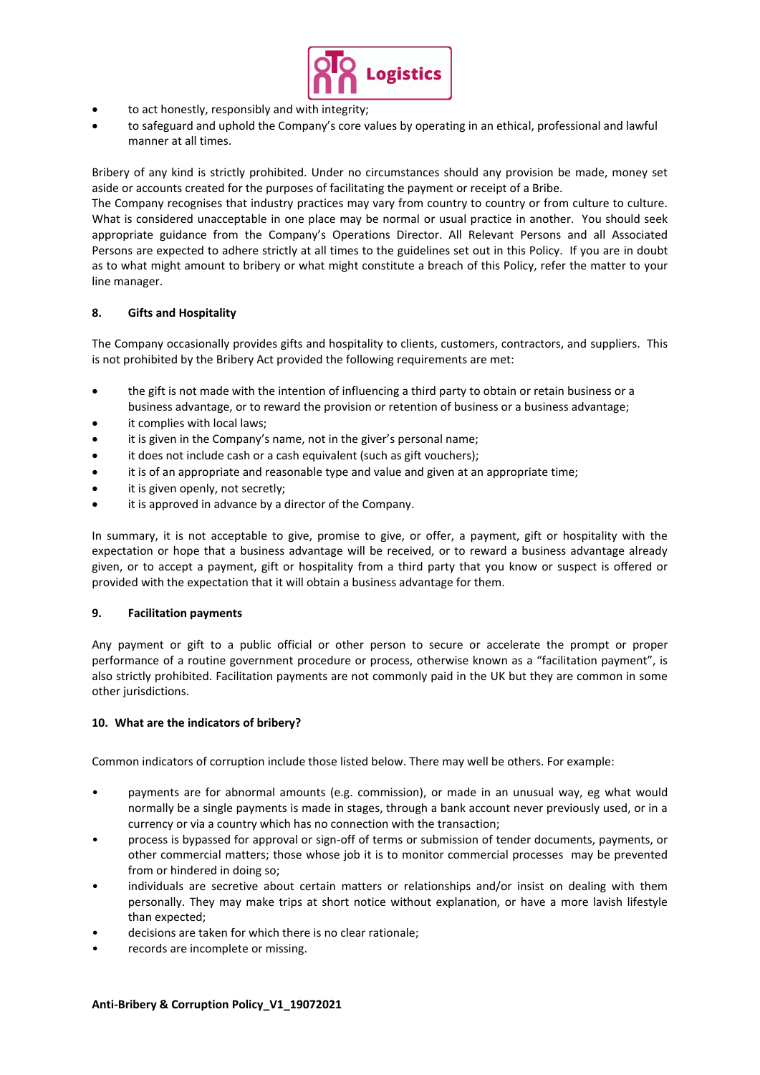

- to act honestly, responsibly and with integrity;
- to safeguard and uphold the Company's core values by operating in an ethical, professional and lawful manner at all times.

Bribery of any kind is strictly prohibited. Under no circumstances should any provision be made, money set aside or accounts created for the purposes of facilitating the payment or receipt of a Bribe.

The Company recognises that industry practices may vary from country to country or from culture to culture. What is considered unacceptable in one place may be normal or usual practice in another. You should seek appropriate guidance from the Company's Operations Director. All Relevant Persons and all Associated Persons are expected to adhere strictly at all times to the guidelines set out in this Policy. If you are in doubt as to what might amount to bribery or what might constitute a breach of this Policy, refer the matter to your line manager.

## **8. Gifts and Hospitality**

The Company occasionally provides gifts and hospitality to clients, customers, contractors, and suppliers. This is not prohibited by the Bribery Act provided the following requirements are met:

- the gift is not made with the intention of influencing a third party to obtain or retain business or a business advantage, or to reward the provision or retention of business or a business advantage;
- it complies with local laws;
- it is given in the Company's name, not in the giver's personal name;
- it does not include cash or a cash equivalent (such as gift vouchers);
- it is of an appropriate and reasonable type and value and given at an appropriate time;
- it is given openly, not secretly;
- it is approved in advance by a director of the Company.

In summary, it is not acceptable to give, promise to give, or offer, a payment, gift or hospitality with the expectation or hope that a business advantage will be received, or to reward a business advantage already given, or to accept a payment, gift or hospitality from a third party that you know or suspect is offered or provided with the expectation that it will obtain a business advantage for them.

## **9. Facilitation payments**

Any payment or gift to a public official or other person to secure or accelerate the prompt or proper performance of a routine government procedure or process, otherwise known as a "facilitation payment", is also strictly prohibited. Facilitation payments are not commonly paid in the UK but they are common in some other jurisdictions.

## **10. What are the indicators of bribery?**

Common indicators of corruption include those listed below. There may well be others. For example:

- payments are for abnormal amounts (e.g. commission), or made in an unusual way, eg what would normally be a single payments is made in stages, through a bank account never previously used, or in a currency or via a country which has no connection with the transaction;
- process is bypassed for approval or sign-off of terms or submission of tender documents, payments, or other commercial matters; those whose job it is to monitor commercial processes may be prevented from or hindered in doing so;
- individuals are secretive about certain matters or relationships and/or insist on dealing with them personally. They may make trips at short notice without explanation, or have a more lavish lifestyle than expected;
- decisions are taken for which there is no clear rationale;
- records are incomplete or missing.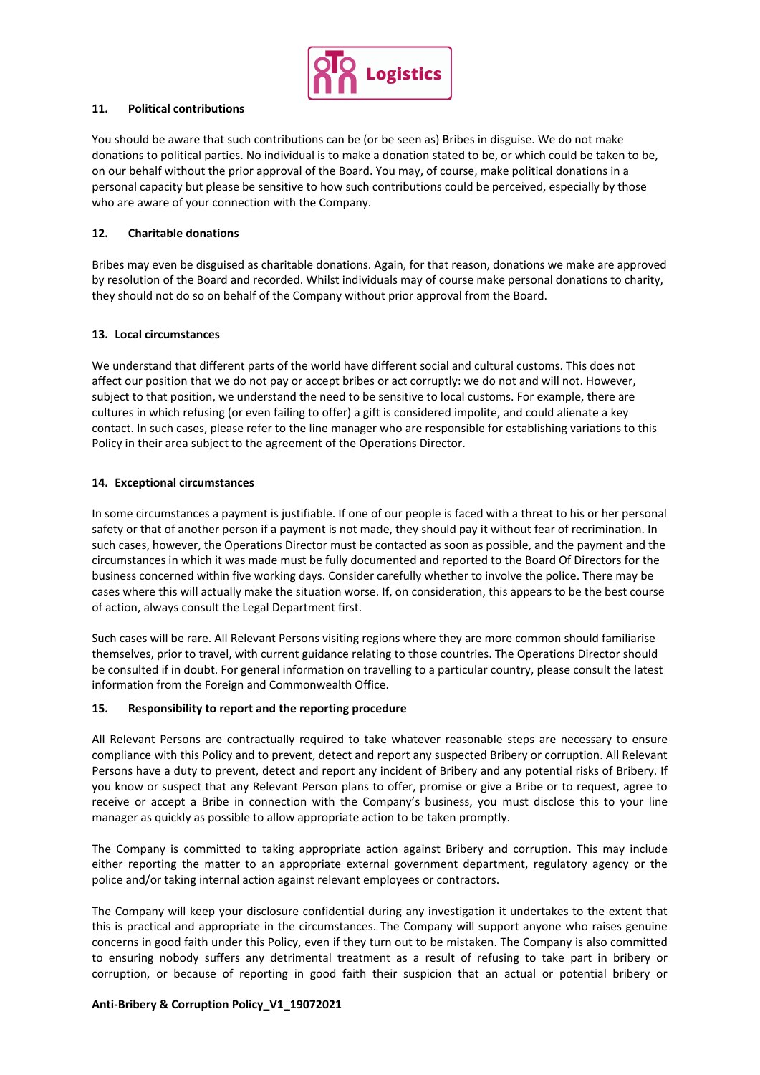

# **11. Political contributions**

You should be aware that such contributions can be (or be seen as) Bribes in disguise. We do not make donations to political parties. No individual is to make a donation stated to be, or which could be taken to be, on our behalf without the prior approval of the Board. You may, of course, make political donations in a personal capacity but please be sensitive to how such contributions could be perceived, especially by those who are aware of your connection with the Company.

## **12. Charitable donations**

Bribes may even be disguised as charitable donations. Again, for that reason, donations we make are approved by resolution of the Board and recorded. Whilst individuals may of course make personal donations to charity, they should not do so on behalf of the Company without prior approval from the Board.

## **13. Local circumstances**

We understand that different parts of the world have different social and cultural customs. This does not affect our position that we do not pay or accept bribes or act corruptly: we do not and will not. However, subject to that position, we understand the need to be sensitive to local customs. For example, there are cultures in which refusing (or even failing to offer) a gift is considered impolite, and could alienate a key contact. In such cases, please refer to the line manager who are responsible for establishing variations to this Policy in their area subject to the agreement of the Operations Director.

## **14. Exceptional circumstances**

In some circumstances a payment is justifiable. If one of our people is faced with a threat to his or her personal safety or that of another person if a payment is not made, they should pay it without fear of recrimination. In such cases, however, the Operations Director must be contacted as soon as possible, and the payment and the circumstances in which it was made must be fully documented and reported to the Board Of Directors for the business concerned within five working days. Consider carefully whether to involve the police. There may be cases where this will actually make the situation worse. If, on consideration, this appears to be the best course of action, always consult the Legal Department first.

Such cases will be rare. All Relevant Persons visiting regions where they are more common should familiarise themselves, prior to travel, with current guidance relating to those countries. The Operations Director should be consulted if in doubt. For general information on travelling to a particular country, please consult the latest information from the Foreign and Commonwealth Office.

## **15. Responsibility to report and the reporting procedure**

All Relevant Persons are contractually required to take whatever reasonable steps are necessary to ensure compliance with this Policy and to prevent, detect and report any suspected Bribery or corruption. All Relevant Persons have a duty to prevent, detect and report any incident of Bribery and any potential risks of Bribery. If you know or suspect that any Relevant Person plans to offer, promise or give a Bribe or to request, agree to receive or accept a Bribe in connection with the Company's business, you must disclose this to your line manager as quickly as possible to allow appropriate action to be taken promptly.

The Company is committed to taking appropriate action against Bribery and corruption. This may include either reporting the matter to an appropriate external government department, regulatory agency or the police and/or taking internal action against relevant employees or contractors.

The Company will keep your disclosure confidential during any investigation it undertakes to the extent that this is practical and appropriate in the circumstances. The Company will support anyone who raises genuine concerns in good faith under this Policy, even if they turn out to be mistaken. The Company is also committed to ensuring nobody suffers any detrimental treatment as a result of refusing to take part in bribery or corruption, or because of reporting in good faith their suspicion that an actual or potential bribery or

## **Anti-Bribery & Corruption Policy\_V1\_19072021**